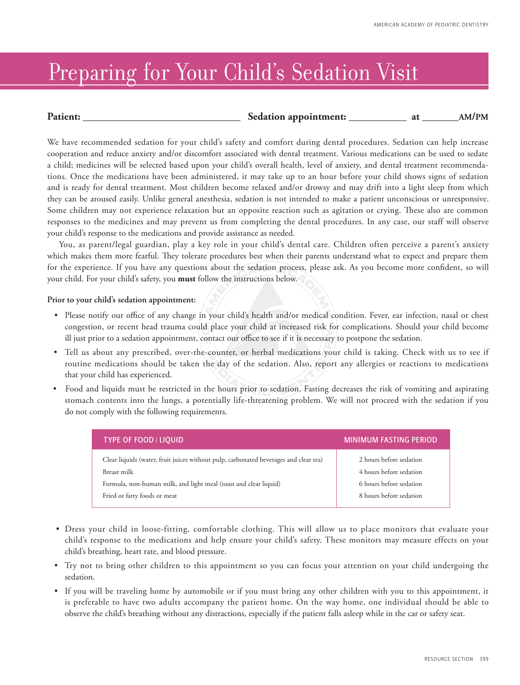## Preparing for Your Child's Sedation Visit

| <b>Patient:</b> | Sedation appointment: |  |  |
|-----------------|-----------------------|--|--|
|-----------------|-----------------------|--|--|

We have recommended sedation for your child's safety and comfort during dental procedures. Sedation can help increase cooperation and reduce anxiety and/or discomfort associated with dental treatment. Various medications can be used to sedate a child; medicines will be selected based upon your child's overall health, level of anxiety, and dental treatment recommendations. Once the medications have been administered, it may take up to an hour before your child shows signs of sedation and is ready for dental treatment. Most children become relaxed and/or drowsy and may drift into a light sleep from which they can be aroused easily. Unlike general anesthesia, sedation is not intended to make a patient unconscious or unresponsive. Some children may not experience relaxation but an opposite reaction such as agitation or crying. These also are common responses to the medicines and may prevent us from completing the dental procedures. In any case, our staff will observe your child's response to the medications and provide assistance as needed.

You, as parent/legal guardian, play a key role in your child's dental care. Children often perceive a parent's anxiety which makes them more fearful. They tolerate procedures best when their parents understand what to expect and prepare them for the experience. If you have any questions about the sedation process, please ask. As you become more confident, so will your child. For your child's safety, you **must** follow the instructions below.

## **Prior to your child's sedation appointment:**

- • Please notify our office of any change in your child's health and/or medical condition. Fever, ear infection, nasal or chest congestion, or recent head trauma could place your child at increased risk for complications. Should your child become ill just prior to a sedation appointment, contact our office to see if it is necessary to postpone the sedation.
- Tell us about any prescribed, over-the-counter, or herbal medications your child is taking. Check with us to see if routine medications should be taken the day of the sedation. Also, report any allergies or reactions to medications that your child has experienced.
- Food and liquids must be restricted in the hours prior to sedation. Fasting decreases the risk of vomiting and aspirating stomach contents into the lungs, a potentially life-threatening problem. We will not proceed with the sedation if you do not comply with the following requirements.

| <b>TYPE OF FOOD / LIQUID</b>                                                         | <b>MINIMUM FASTING PERIOD</b> |
|--------------------------------------------------------------------------------------|-------------------------------|
| Clear liquids (water, fruit juices without pulp, carbonated beverages and clear tea) | 2 hours before sedation       |
| Breast milk                                                                          | 4 hours before sedation       |
| Formula, non-human milk, and light meal (toast and clear liquid)                     | 6 hours before sedation       |
| Fried or fatty foods or meat                                                         | 8 hours before sedation       |

- Dress your child in loose-fitting, comfortable clothing. This will allow us to place monitors that evaluate your child's response to the medications and help ensure your child's safety. These monitors may measure effects on your child's breathing, heart rate, and blood pressure.
- Try not to bring other children to this appointment so you can focus your attention on your child undergoing the sedation.
- If you will be traveling home by automobile or if you must bring any other children with you to this appointment, it is preferable to have two adults accompany the patient home. On the way home, one individual should be able to observe the child's breathing without any distractions, especially if the patient falls asleep while in the car or safety seat.